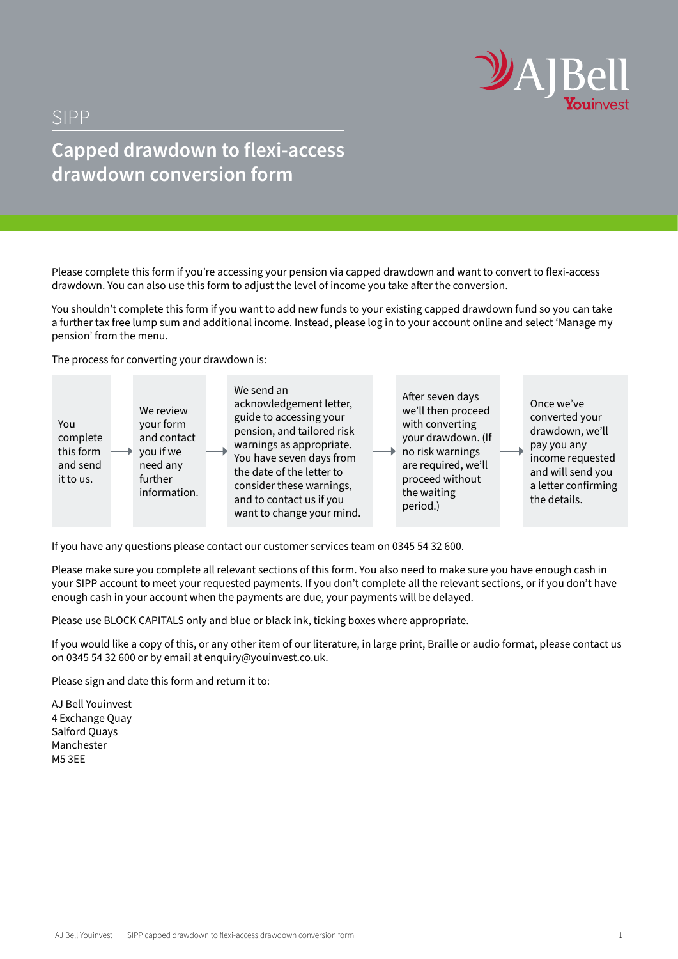

## SIPP

# **Capped drawdown to flexi-access drawdown conversion form**

Please complete this form if you're accessing your pension via capped drawdown and want to convert to flexi-access drawdown. You can also use this form to adjust the level of income you take after the conversion.

You shouldn't complete this form if you want to add new funds to your existing capped drawdown fund so you can take a further tax free lump sum and additional income. Instead, please log in to your account online and select 'Manage my pension' from the menu.

The process for converting your drawdown is:



If you have any questions please contact our customer services team on 0345 54 32 600.

Please make sure you complete all relevant sections of this form. You also need to make sure you have enough cash in your SIPP account to meet your requested payments. If you don't complete all the relevant sections, or if you don't have enough cash in your account when the payments are due, your payments will be delayed.

Please use BLOCK CAPITALS only and blue or black ink, ticking boxes where appropriate.

If you would like a copy of this, or any other item of our literature, in large print, Braille or audio format, please contact us on 0345 54 32 600 or by email at enquiry@youinvest.co.uk.

Please sign and date this form and return it to:

AJ Bell Youinvest 4 Exchange Quay Salford Quays Manchester M5 3EE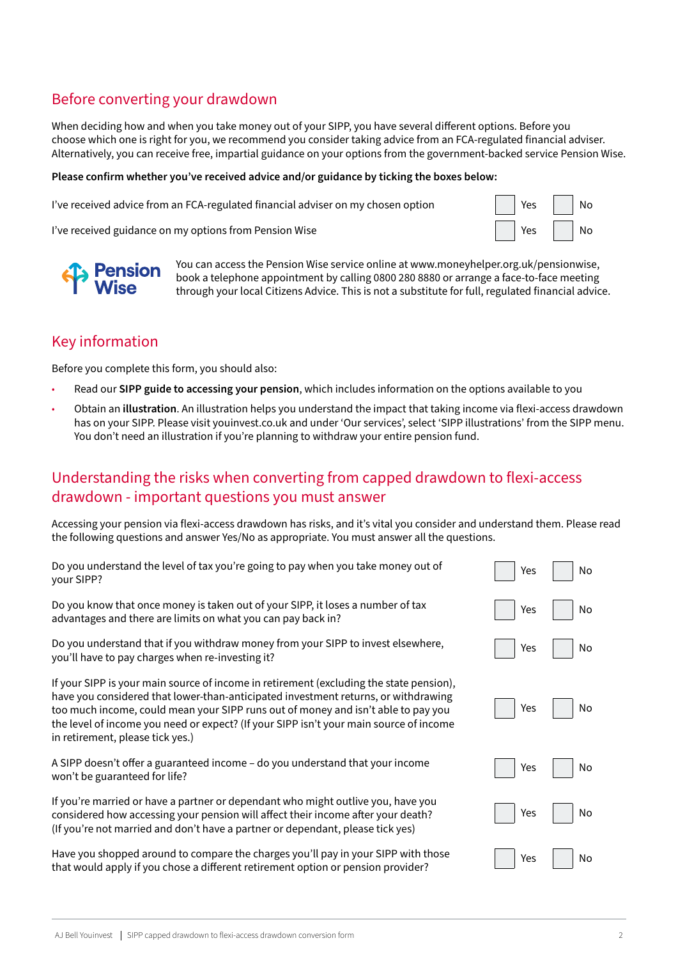### Before converting your drawdown

When deciding how and when you take money out of your SIPP, you have several different options. Before you choose which one is right for you, we recommend you consider taking advice from an FCA-regulated financial adviser. Alternatively, you can receive free, impartial guidance on your options from the government-backed service Pension Wise.

#### **Please confirm whether you've received advice and/or guidance by ticking the boxes below:**

I've received advice from an FCA-regulated financial adviser on my chosen option  $\vert$  | Yes | No

I've received guidance on my options from Pension Wise Yes No





You can access the Pension Wise service online at www.moneyhelper.org.uk/pensionwise, book a telephone appointment by calling 0800 280 8880 or arrange a face-to-face meeting through your local Citizens Advice. This is not a substitute for full, regulated financial advice.

### Key information

Before you complete this form, you should also:

- Read our **SIPP guide to accessing your pension**, which includes information on the options available to you
- Obtain an **illustration**. An illustration helps you understand the impact that taking income via flexi-access drawdown has on your SIPP. Please visit youinvest.co.uk and under 'Our services', select 'SIPP illustrations' from the SIPP menu. You don't need an illustration if you're planning to withdraw your entire pension fund.

#### Understanding the risks when converting from capped drawdown to flexi-access drawdown - important questions you must answer

Accessing your pension via flexi-access drawdown has risks, and it's vital you consider and understand them. Please read the following questions and answer Yes/No as appropriate. You must answer all the questions.

| Do you understand the level of tax you're going to pay when you take money out of<br>your SIPP?                                                                                                                                                                                                                                                                                                  | Yes | No |
|--------------------------------------------------------------------------------------------------------------------------------------------------------------------------------------------------------------------------------------------------------------------------------------------------------------------------------------------------------------------------------------------------|-----|----|
| Do you know that once money is taken out of your SIPP, it loses a number of tax<br>advantages and there are limits on what you can pay back in?                                                                                                                                                                                                                                                  | Yes | No |
| Do you understand that if you withdraw money from your SIPP to invest elsewhere,<br>you'll have to pay charges when re-investing it?                                                                                                                                                                                                                                                             | Yes | No |
| If your SIPP is your main source of income in retirement (excluding the state pension),<br>have you considered that lower-than-anticipated investment returns, or withdrawing<br>too much income, could mean your SIPP runs out of money and isn't able to pay you<br>the level of income you need or expect? (If your SIPP isn't your main source of income<br>in retirement, please tick yes.) | Yes | No |
| A SIPP doesn't offer a guaranteed income - do you understand that your income<br>won't be guaranteed for life?                                                                                                                                                                                                                                                                                   | Yes | No |
| If you're married or have a partner or dependant who might outlive you, have you<br>considered how accessing your pension will affect their income after your death?<br>(If you're not married and don't have a partner or dependant, please tick yes)                                                                                                                                           | Yes | No |
| Have you shopped around to compare the charges you'll pay in your SIPP with those<br>that would apply if you chose a different retirement option or pension provider?                                                                                                                                                                                                                            | Yes | No |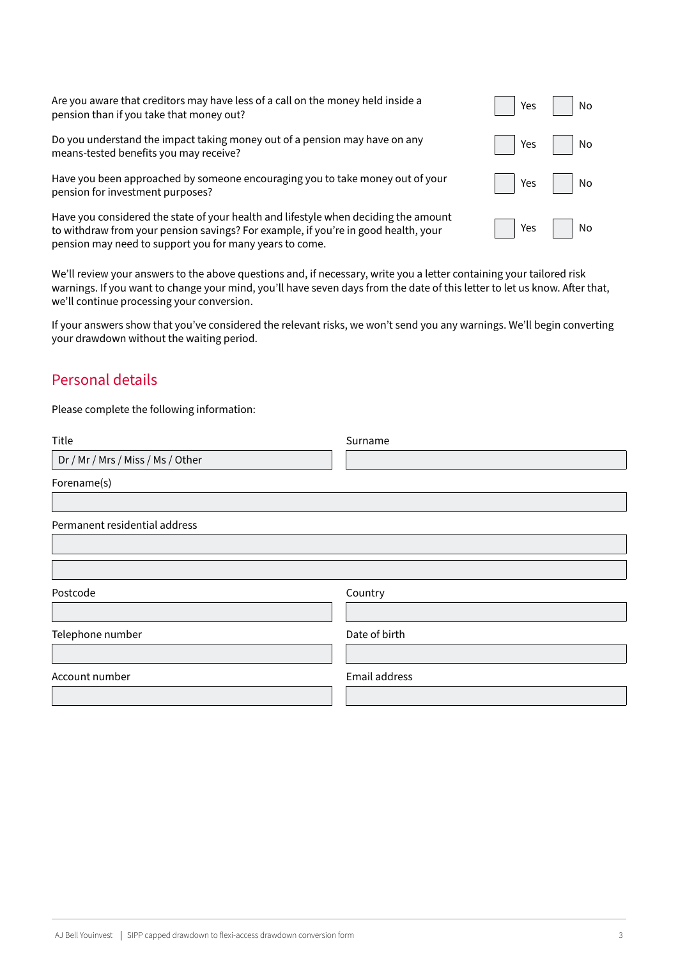| Are you aware that creditors may have less of a call on the money held inside a<br>pension than if you take that money out?                                                                                                          | Yes     No     |
|--------------------------------------------------------------------------------------------------------------------------------------------------------------------------------------------------------------------------------------|----------------|
| Do you understand the impact taking money out of a pension may have on any<br>means-tested benefits you may receive?                                                                                                                 | Yes $\vert$ No |
| Have you been approached by someone encouraging you to take money out of your<br>pension for investment purposes?                                                                                                                    | Yes No         |
| Have you considered the state of your health and lifestyle when deciding the amount<br>to withdraw from your pension savings? For example, if you're in good health, your<br>pension may need to support you for many years to come. | Yes $\vert$ No |

We'll review your answers to the above questions and, if necessary, write you a letter containing your tailored risk warnings. If you want to change your mind, you'll have seven days from the date of this letter to let us know. After that, we'll continue processing your conversion.

If your answers show that you've considered the relevant risks, we won't send you any warnings. We'll begin converting your drawdown without the waiting period.

### Personal details

Please complete the following information:

| Title                             | Surname       |
|-----------------------------------|---------------|
| Dr / Mr / Mrs / Miss / Ms / Other |               |
| Forename(s)                       |               |
|                                   |               |
| Permanent residential address     |               |
|                                   |               |
|                                   |               |
| Postcode                          | Country       |
|                                   |               |
| Telephone number                  | Date of birth |
|                                   |               |
| Account number                    | Email address |
|                                   |               |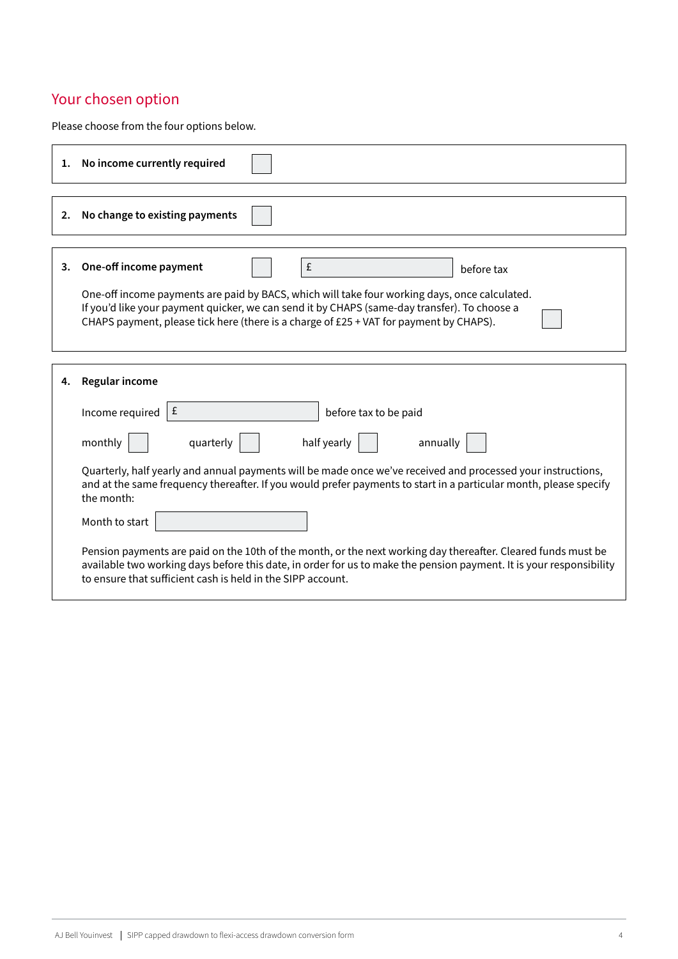## Your chosen option

Please choose from the four options below.

|    | 1. No income currently required                                                                                                                                                                                                                                                                     |
|----|-----------------------------------------------------------------------------------------------------------------------------------------------------------------------------------------------------------------------------------------------------------------------------------------------------|
| 2. | No change to existing payments                                                                                                                                                                                                                                                                      |
| 3. | One-off income payment<br>£<br>before tax                                                                                                                                                                                                                                                           |
|    | One-off income payments are paid by BACS, which will take four working days, once calculated.<br>If you'd like your payment quicker, we can send it by CHAPS (same-day transfer). To choose a<br>CHAPS payment, please tick here (there is a charge of £25 + VAT for payment by CHAPS).             |
| 4. | Regular income                                                                                                                                                                                                                                                                                      |
|    | £<br>Income required<br>before tax to be paid                                                                                                                                                                                                                                                       |
|    | half yearly<br>monthly<br>quarterly<br>annually                                                                                                                                                                                                                                                     |
|    | Quarterly, half yearly and annual payments will be made once we've received and processed your instructions,<br>and at the same frequency thereafter. If you would prefer payments to start in a particular month, please specify<br>the month:                                                     |
|    | Month to start                                                                                                                                                                                                                                                                                      |
|    | Pension payments are paid on the 10th of the month, or the next working day thereafter. Cleared funds must be<br>available two working days before this date, in order for us to make the pension payment. It is your responsibility<br>to ensure that sufficient cash is held in the SIPP account. |